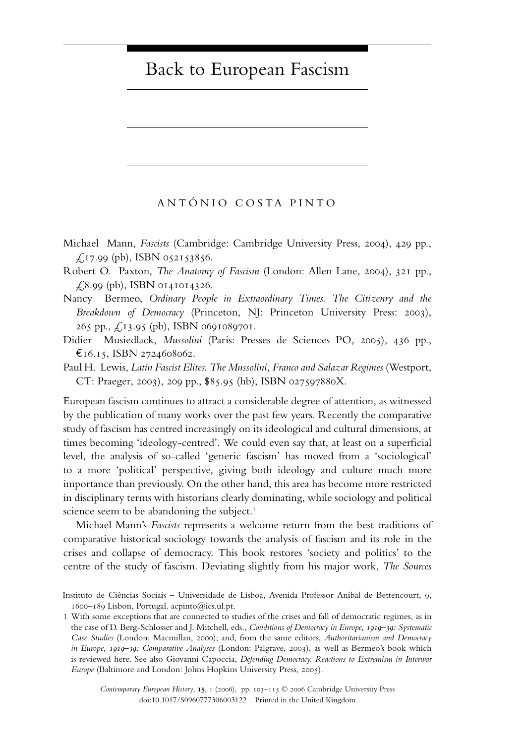# Back to European Fascism

## ANTÓNIO COSTA PINTO

- Michael Mann, *Fascists* (Cambridge: Cambridge University Press, 2004), 429 pp.,  $\text{\textsterling}17.99$  (pb), ISBN 052153856.
- Robert O. Paxton, *The Anatomy of Fascism* (London: Allen Lane, 2004), 321 pp.,  $\angle$  (8.99 (pb), ISBN 0141014326.
- Nancy Bermeo, *Ordinary People in Extraordinary Times. The Citizenry and the Breakdown of Democracy* (Princeton, NJ: Princeton University Press: 2003), 265 pp., £13.95 (pb), ISBN 0691089701.
- Didier Musiedlack, *Mussolini* (Paris: Presses de Sciences PO, 2005), 436 pp., €16.15, ISBN 2724608062.
- Paul H. Lewis, *Latin Fascist Elites. The Mussolini, Franco and Salazar Regimes* (Westport, CT: Praeger, 2003), 209 pp., \$85.95 (hb), ISBN 027597880X.

European fascism continues to attract a considerable degree of attention, as witnessed by the publication of many works over the past few years. Recently the comparative study of fascism has centred increasingly on its ideological and cultural dimensions, at times becoming 'ideology-centred'. We could even say that, at least on a superficial level, the analysis of so-called 'generic fascism' has moved from a 'sociological' to a more 'political' perspective, giving both ideology and culture much more importance than previously. On the other hand, this area has become more restricted in disciplinary terms with historians clearly dominating, while sociology and political science seem to be abandoning the subject.<sup>1</sup>

Michael Mann's *Fascists* represents a welcome return from the best traditions of comparative historical sociology towards the analysis of fascism and its role in the crises and collapse of democracy. This book restores 'society and politics' to the centre of the study of fascism. Deviating slightly from his major work, *The Sources*

Instituto de Ciências Sociais – Universidade de Lisboa, Avenida Professor Aníbal de Bettencourt, 9, 1600–189 Lisbon, Portugal. acpinto@ics.ul.pt.

<sup>1</sup> With some exceptions that are connected to studies of the crises and fall of democratic regimes, as in the case of D. Berg-Schlosser and J. Mitchell, eds., *Conditions of Democracy in Europe, 1919–39: Systematic Case Studies* (London: Macmillan, 2000); and, from the same editors, *Authoritarianism and Democracy in Europe, 1919–39: Comparative Analyses* (London: Palgrave, 2003), as well as Bermeo's book which is reviewed here. See also Giovanni Capoccia, *Defending Democracy. Reactions to Extremism in Interwar Europe* (Baltimore and London: Johns Hopkins University Press, 2005).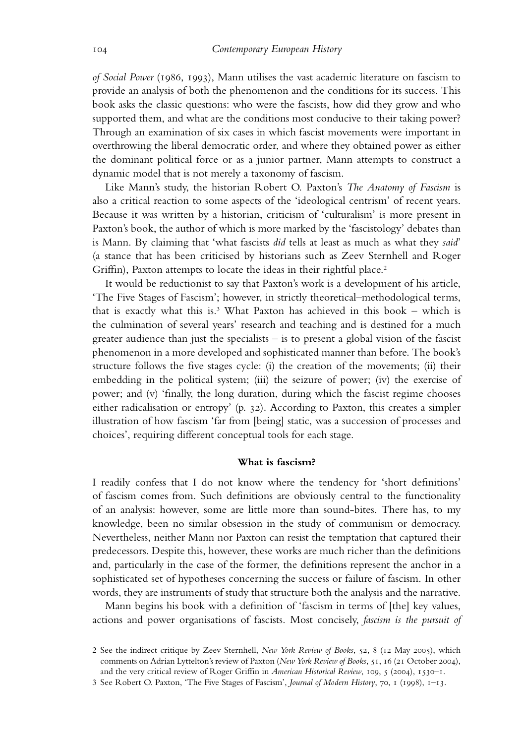*of Social Power* (1986, 1993), Mann utilises the vast academic literature on fascism to provide an analysis of both the phenomenon and the conditions for its success. This book asks the classic questions: who were the fascists, how did they grow and who supported them, and what are the conditions most conducive to their taking power? Through an examination of six cases in which fascist movements were important in overthrowing the liberal democratic order, and where they obtained power as either the dominant political force or as a junior partner, Mann attempts to construct a dynamic model that is not merely a taxonomy of fascism.

Like Mann's study, the historian Robert O. Paxton's *The Anatomy of Fascism* is also a critical reaction to some aspects of the 'ideological centrism' of recent years. Because it was written by a historian, criticism of 'culturalism' is more present in Paxton's book, the author of which is more marked by the 'fascistology' debates than is Mann. By claiming that 'what fascists *did* tells at least as much as what they *said*' (a stance that has been criticised by historians such as Zeev Sternhell and Roger Griffin), Paxton attempts to locate the ideas in their rightful place.<sup>2</sup>

It would be reductionist to say that Paxton's work is a development of his article, 'The Five Stages of Fascism'; however, in strictly theoretical–methodological terms, that is exactly what this is.<sup>3</sup> What Paxton has achieved in this book – which is the culmination of several years' research and teaching and is destined for a much greater audience than just the specialists – is to present a global vision of the fascist phenomenon in a more developed and sophisticated manner than before. The book's structure follows the five stages cycle: (i) the creation of the movements; (ii) their embedding in the political system; (iii) the seizure of power; (iv) the exercise of power; and (v) 'finally, the long duration, during which the fascist regime chooses either radicalisation or entropy' (p. 32). According to Paxton, this creates a simpler illustration of how fascism 'far from [being] static, was a succession of processes and choices', requiring different conceptual tools for each stage.

### **What is fascism?**

I readily confess that I do not know where the tendency for 'short definitions' of fascism comes from. Such definitions are obviously central to the functionality of an analysis: however, some are little more than sound-bites. There has, to my knowledge, been no similar obsession in the study of communism or democracy. Nevertheless, neither Mann nor Paxton can resist the temptation that captured their predecessors. Despite this, however, these works are much richer than the definitions and, particularly in the case of the former, the definitions represent the anchor in a sophisticated set of hypotheses concerning the success or failure of fascism. In other words, they are instruments of study that structure both the analysis and the narrative.

Mann begins his book with a definition of 'fascism in terms of [the] key values, actions and power organisations of fascists. Most concisely, *fascism is the pursuit of*

<sup>2</sup> See the indirect critique by Zeev Sternhell, *New York Review of Books*, 52, 8 (12 May 2005), which comments on Adrian Lyttelton's review of Paxton (*New York Review of Books*, 51, 16 (21 October 2004), and the very critical review of Roger Griffin in *American Historical Review*, 109, 5 (2004), 1530–1.

<sup>3</sup> See Robert O. Paxton, 'The Five Stages of Fascism', *Journal of Modern History*, 70, 1 (1998), 1–13.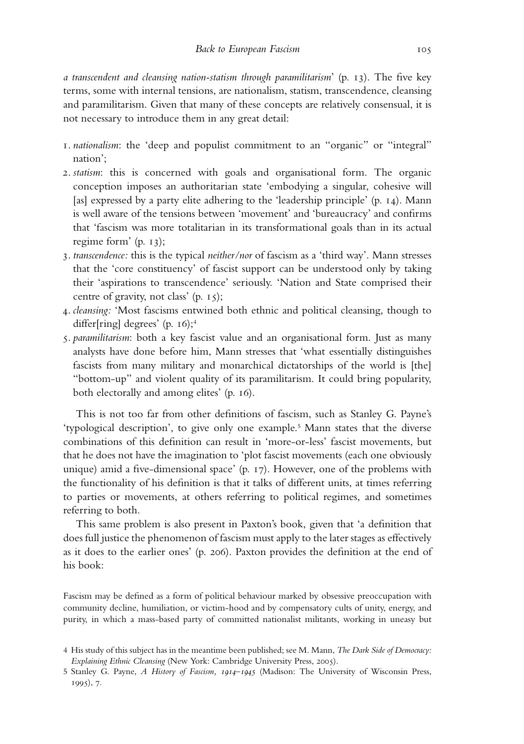*a transcendent and cleansing nation-statism through paramilitarism*' (p. 13). The five key terms, some with internal tensions, are nationalism, statism, transcendence, cleansing and paramilitarism. Given that many of these concepts are relatively consensual, it is not necessary to introduce them in any great detail:

- 1. *nationalism*: the 'deep and populist commitment to an "organic" or "integral" nation';
- 2. *statism*: this is concerned with goals and organisational form. The organic conception imposes an authoritarian state 'embodying a singular, cohesive will [as] expressed by a party elite adhering to the 'leadership principle' (p. 14). Mann is well aware of the tensions between 'movement' and 'bureaucracy' and confirms that 'fascism was more totalitarian in its transformational goals than in its actual regime form' (p. 13);
- 3. *transcendence:* this is the typical *neither/nor* of fascism as a 'third way'. Mann stresses that the 'core constituency' of fascist support can be understood only by taking their 'aspirations to transcendence' seriously. 'Nation and State comprised their centre of gravity, not class' (p. 15);
- 4. *cleansing:* 'Most fascisms entwined both ethnic and political cleansing, though to differ[ring] degrees' (p. 16);<sup>4</sup>
- 5. *paramilitarism*: both a key fascist value and an organisational form. Just as many analysts have done before him, Mann stresses that 'what essentially distinguishes fascists from many military and monarchical dictatorships of the world is [the] "bottom-up" and violent quality of its paramilitarism. It could bring popularity, both electorally and among elites' (p. 16).

This is not too far from other definitions of fascism, such as Stanley G. Payne's 'typological description', to give only one example.5 Mann states that the diverse combinations of this definition can result in 'more-or-less' fascist movements, but that he does not have the imagination to 'plot fascist movements (each one obviously unique) amid a five-dimensional space' (p. 17). However, one of the problems with the functionality of his definition is that it talks of different units, at times referring to parties or movements, at others referring to political regimes, and sometimes referring to both.

This same problem is also present in Paxton's book, given that 'a definition that does full justice the phenomenon of fascism must apply to the later stages as effectively as it does to the earlier ones' (p. 206). Paxton provides the definition at the end of his book:

Fascism may be defined as a form of political behaviour marked by obsessive preoccupation with community decline, humiliation, or victim-hood and by compensatory cults of unity, energy, and purity, in which a mass-based party of committed nationalist militants, working in uneasy but

<sup>4</sup> His study of this subject has in the meantime been published; see M. Mann, *The Dark Side of Democracy: Explaining Ethnic Cleansing* (New York: Cambridge University Press, 2005).

<sup>5</sup> Stanley G. Payne, *A History of Fascism, 1914–1945* (Madison: The University of Wisconsin Press, 1995), 7.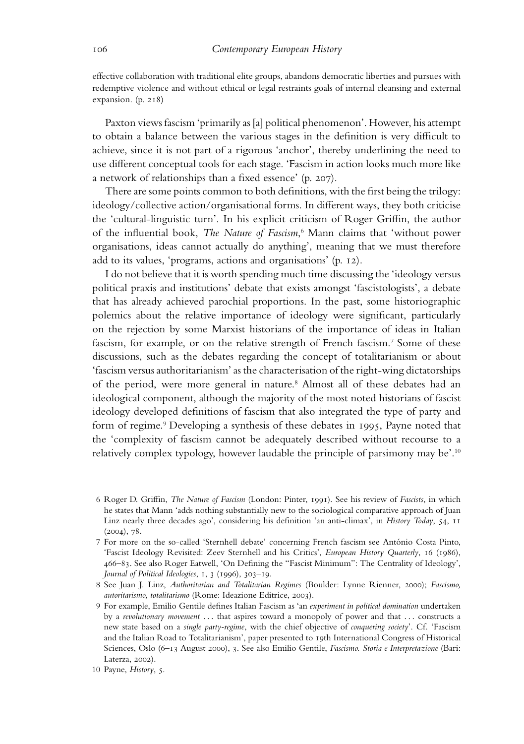effective collaboration with traditional elite groups, abandons democratic liberties and pursues with redemptive violence and without ethical or legal restraints goals of internal cleansing and external expansion. (p. 218)

Paxton views fascism 'primarily as [a] political phenomenon'. However, his attempt to obtain a balance between the various stages in the definition is very difficult to achieve, since it is not part of a rigorous 'anchor', thereby underlining the need to use different conceptual tools for each stage. 'Fascism in action looks much more like a network of relationships than a fixed essence' (p. 207).

There are some points common to both definitions, with the first being the trilogy: ideology/collective action/organisational forms. In different ways, they both criticise the 'cultural-linguistic turn'. In his explicit criticism of Roger Griffin, the author of the influential book, *The Nature of Fascism*, <sup>6</sup> Mann claims that 'without power organisations, ideas cannot actually do anything', meaning that we must therefore add to its values, 'programs, actions and organisations' (p. 12).

I do not believe that it is worth spending much time discussing the 'ideology versus political praxis and institutions' debate that exists amongst 'fascistologists', a debate that has already achieved parochial proportions. In the past, some historiographic polemics about the relative importance of ideology were significant, particularly on the rejection by some Marxist historians of the importance of ideas in Italian fascism, for example, or on the relative strength of French fascism.<sup>7</sup> Some of these discussions, such as the debates regarding the concept of totalitarianism or about 'fascism versus authoritarianism' as the characterisation of the right-wing dictatorships of the period, were more general in nature.8 Almost all of these debates had an ideological component, although the majority of the most noted historians of fascist ideology developed definitions of fascism that also integrated the type of party and form of regime.<sup>9</sup> Developing a synthesis of these debates in 1995, Payne noted that the 'complexity of fascism cannot be adequately described without recourse to a relatively complex typology, however laudable the principle of parsimony may be'.10

<sup>6</sup> Roger D. Griffin, *The Nature of Fascism* (London: Pinter, 1991). See his review of *Fascists*, in which he states that Mann 'adds nothing substantially new to the sociological comparative approach of Juan Linz nearly three decades ago', considering his definition 'an anti-climax', in *History Today*, 54, 11 (2004), 78.

<sup>7</sup> For more on the so-called 'Sternhell debate' concerning French fascism see Antonio Costa Pinto, ´ 'Fascist Ideology Revisited: Zeev Sternhell and his Critics', *European History Quarterly*, 16 (1986), 466–83. See also Roger Eatwell, 'On Defining the "Fascist Minimum": The Centrality of Ideology', *Journal of Political Ideologies*, 1, 3 (1996), 303–19.

<sup>8</sup> See Juan J. Linz, *Authoritarian and Totalitarian Regimes* (Boulder: Lynne Rienner, 2000); *Fascismo, autoritarismo, totalitarismo* (Rome: Ideazione Editrice, 2003).

<sup>9</sup> For example, Emilio Gentile defines Italian Fascism as 'an *experiment in political domination* undertaken by a *revolutionary movement ...* that aspires toward a monopoly of power and that *...* constructs a new state based on a *single party-regime*, with the chief objective of *conquering society*'. Cf. 'Fascism and the Italian Road to Totalitarianism', paper presented to 19th International Congress of Historical Sciences, Oslo (6–13 August 2000), 3. See also Emilio Gentile, *Fascismo. Storia e Interpretazione* (Bari: Laterza, 2002).

<sup>10</sup> Payne, *History*, 5.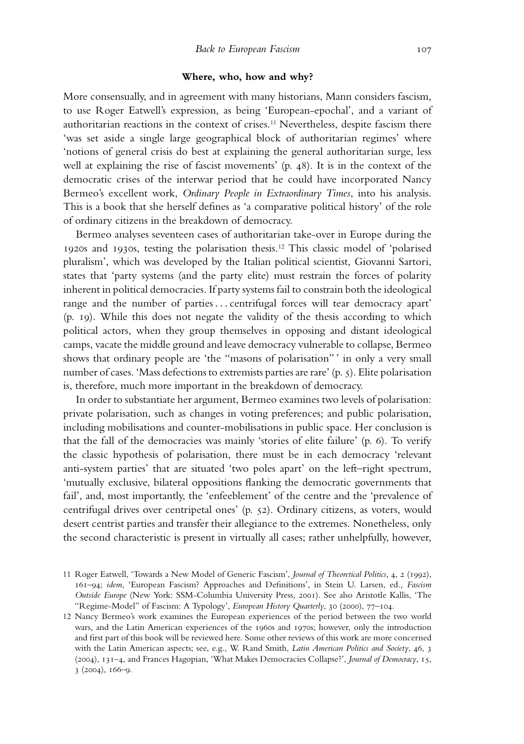#### **Where, who, how and why?**

More consensually, and in agreement with many historians, Mann considers fascism, to use Roger Eatwell's expression, as being 'European-epochal', and a variant of authoritarian reactions in the context of crises.11 Nevertheless, despite fascism there 'was set aside a single large geographical block of authoritarian regimes' where 'notions of general crisis do best at explaining the general authoritarian surge, less well at explaining the rise of fascist movements' (p. 48). It is in the context of the democratic crises of the interwar period that he could have incorporated Nancy Bermeo's excellent work, *Ordinary People in Extraordinary Times*, into his analysis. This is a book that she herself defines as 'a comparative political history' of the role of ordinary citizens in the breakdown of democracy.

Bermeo analyses seventeen cases of authoritarian take-over in Europe during the 1920s and 1930s, testing the polarisation thesis.12 This classic model of 'polarised pluralism', which was developed by the Italian political scientist, Giovanni Sartori, states that 'party systems (and the party elite) must restrain the forces of polarity inherent in political democracies. If party systems fail to constrain both the ideological range and the number of parties *...* centrifugal forces will tear democracy apart' (p. 19). While this does not negate the validity of the thesis according to which political actors, when they group themselves in opposing and distant ideological camps, vacate the middle ground and leave democracy vulnerable to collapse, Bermeo shows that ordinary people are 'the "masons of polarisation" ' in only a very small number of cases. 'Mass defections to extremists parties are rare' (p. 5). Elite polarisation is, therefore, much more important in the breakdown of democracy.

In order to substantiate her argument, Bermeo examines two levels of polarisation: private polarisation, such as changes in voting preferences; and public polarisation, including mobilisations and counter-mobilisations in public space. Her conclusion is that the fall of the democracies was mainly 'stories of elite failure' (p. 6). To verify the classic hypothesis of polarisation, there must be in each democracy 'relevant anti-system parties' that are situated 'two poles apart' on the left–right spectrum, 'mutually exclusive, bilateral oppositions flanking the democratic governments that fail', and, most importantly, the 'enfeeblement' of the centre and the 'prevalence of centrifugal drives over centripetal ones' (p. 52). Ordinary citizens, as voters, would desert centrist parties and transfer their allegiance to the extremes. Nonetheless, only the second characteristic is present in virtually all cases; rather unhelpfully, however,

<sup>11</sup> Roger Eatwell, 'Towards a New Model of Generic Fascism', *Journal of Theoretical Politics*, 4, 2 (1992), 161–94; *idem*, 'European Fascism? Approaches and Definitions', in Stein U. Larsen, ed., *Fascism Outside Europe* (New York: SSM-Columbia University Press, 2001). See also Aristotle Kallis, 'The "Regime-Model" of Fascism: A Typology', *European History Quarterly*, 30 (2000), 77–104.

<sup>12</sup> Nancy Bermeo's work examines the European experiences of the period between the two world wars, and the Latin American experiences of the 1960s and 1970s; however, only the introduction and first part of this book will be reviewed here. Some other reviews of this work are more concerned with the Latin American aspects; see, e.g., W. Rand Smith, *Latin American Politics and Society*, 46, 3 (2004), 131–4, and Frances Hagopian, 'What Makes Democracies Collapse?', *Journal of Democracy*, 15, 3 (2004), 166–9.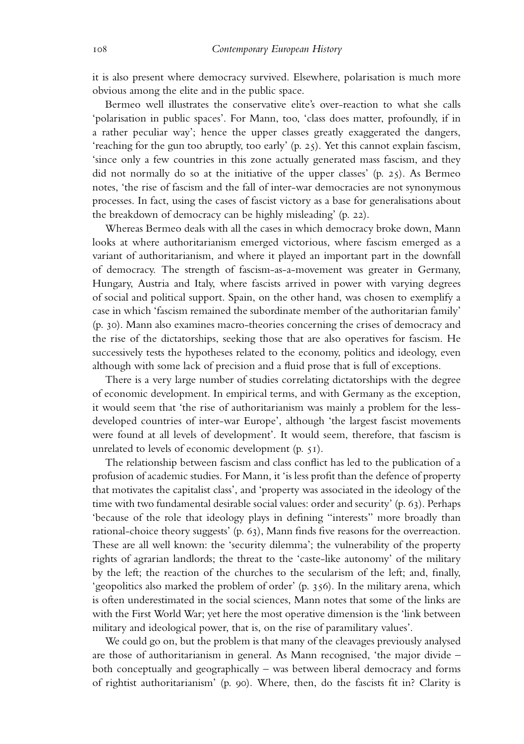it is also present where democracy survived. Elsewhere, polarisation is much more obvious among the elite and in the public space.

Bermeo well illustrates the conservative elite's over-reaction to what she calls 'polarisation in public spaces'. For Mann, too, 'class does matter, profoundly, if in a rather peculiar way'; hence the upper classes greatly exaggerated the dangers, 'reaching for the gun too abruptly, too early' (p. 25). Yet this cannot explain fascism, 'since only a few countries in this zone actually generated mass fascism, and they did not normally do so at the initiative of the upper classes' (p. 25). As Bermeo notes, 'the rise of fascism and the fall of inter-war democracies are not synonymous processes. In fact, using the cases of fascist victory as a base for generalisations about the breakdown of democracy can be highly misleading' (p. 22).

Whereas Bermeo deals with all the cases in which democracy broke down, Mann looks at where authoritarianism emerged victorious, where fascism emerged as a variant of authoritarianism, and where it played an important part in the downfall of democracy. The strength of fascism-as-a-movement was greater in Germany, Hungary, Austria and Italy, where fascists arrived in power with varying degrees of social and political support. Spain, on the other hand, was chosen to exemplify a case in which 'fascism remained the subordinate member of the authoritarian family' (p. 30). Mann also examines macro-theories concerning the crises of democracy and the rise of the dictatorships, seeking those that are also operatives for fascism. He successively tests the hypotheses related to the economy, politics and ideology, even although with some lack of precision and a fluid prose that is full of exceptions.

There is a very large number of studies correlating dictatorships with the degree of economic development. In empirical terms, and with Germany as the exception, it would seem that 'the rise of authoritarianism was mainly a problem for the lessdeveloped countries of inter-war Europe', although 'the largest fascist movements were found at all levels of development'. It would seem, therefore, that fascism is unrelated to levels of economic development (p. 51).

The relationship between fascism and class conflict has led to the publication of a profusion of academic studies. For Mann, it 'is less profit than the defence of property that motivates the capitalist class', and 'property was associated in the ideology of the time with two fundamental desirable social values: order and security' (p. 63). Perhaps 'because of the role that ideology plays in defining "interests" more broadly than rational-choice theory suggests' (p. 63), Mann finds five reasons for the overreaction. These are all well known: the 'security dilemma'; the vulnerability of the property rights of agrarian landlords; the threat to the 'caste-like autonomy' of the military by the left; the reaction of the churches to the secularism of the left; and, finally, 'geopolitics also marked the problem of order' (p. 356). In the military arena, which is often underestimated in the social sciences, Mann notes that some of the links are with the First World War; yet here the most operative dimension is the 'link between military and ideological power, that is, on the rise of paramilitary values'.

We could go on, but the problem is that many of the cleavages previously analysed are those of authoritarianism in general. As Mann recognised, 'the major divide – both conceptually and geographically – was between liberal democracy and forms of rightist authoritarianism' (p. 90). Where, then, do the fascists fit in? Clarity is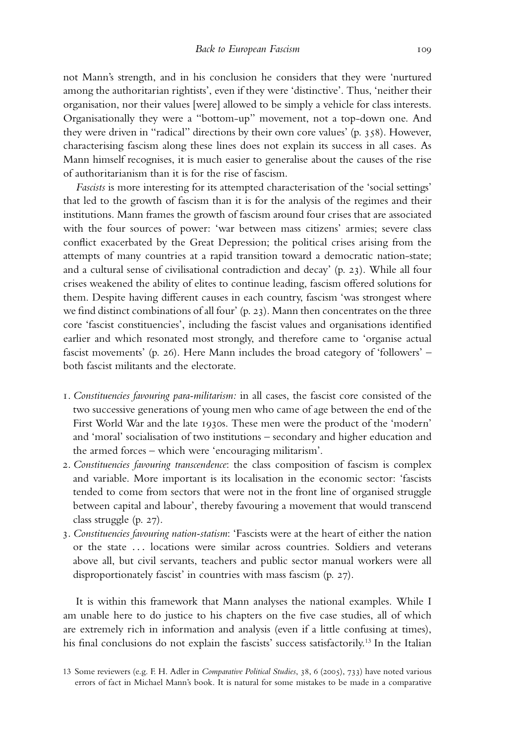not Mann's strength, and in his conclusion he considers that they were 'nurtured among the authoritarian rightists', even if they were 'distinctive'. Thus, 'neither their organisation, nor their values [were] allowed to be simply a vehicle for class interests. Organisationally they were a "bottom-up" movement, not a top-down one. And they were driven in "radical" directions by their own core values' (p. 358). However, characterising fascism along these lines does not explain its success in all cases. As Mann himself recognises, it is much easier to generalise about the causes of the rise of authoritarianism than it is for the rise of fascism.

*Fascists* is more interesting for its attempted characterisation of the 'social settings' that led to the growth of fascism than it is for the analysis of the regimes and their institutions. Mann frames the growth of fascism around four crises that are associated with the four sources of power: 'war between mass citizens' armies; severe class conflict exacerbated by the Great Depression; the political crises arising from the attempts of many countries at a rapid transition toward a democratic nation-state; and a cultural sense of civilisational contradiction and decay' (p. 23). While all four crises weakened the ability of elites to continue leading, fascism offered solutions for them. Despite having different causes in each country, fascism 'was strongest where we find distinct combinations of all four' (p. 23). Mann then concentrates on the three core 'fascist constituencies', including the fascist values and organisations identified earlier and which resonated most strongly, and therefore came to 'organise actual fascist movements' (p. 26). Here Mann includes the broad category of 'followers' – both fascist militants and the electorate.

- 1. *Constituencies favouring para-militarism:* in all cases, the fascist core consisted of the two successive generations of young men who came of age between the end of the First World War and the late 1930s. These men were the product of the 'modern' and 'moral' socialisation of two institutions – secondary and higher education and the armed forces – which were 'encouraging militarism'.
- 2. *Constituencies favouring transcendence*: the class composition of fascism is complex and variable. More important is its localisation in the economic sector: 'fascists tended to come from sectors that were not in the front line of organised struggle between capital and labour', thereby favouring a movement that would transcend class struggle (p. 27).
- 3. *Constituencies favouring nation-statism*: 'Fascists were at the heart of either the nation or the state *...* locations were similar across countries. Soldiers and veterans above all, but civil servants, teachers and public sector manual workers were all disproportionately fascist' in countries with mass fascism (p. 27).

It is within this framework that Mann analyses the national examples. While I am unable here to do justice to his chapters on the five case studies, all of which are extremely rich in information and analysis (even if a little confusing at times), his final conclusions do not explain the fascists' success satisfactorily.13 In the Italian

<sup>13</sup> Some reviewers (e.g. F. H. Adler in *Comparative Political Studies*, 38, 6 (2005), 733) have noted various errors of fact in Michael Mann's book. It is natural for some mistakes to be made in a comparative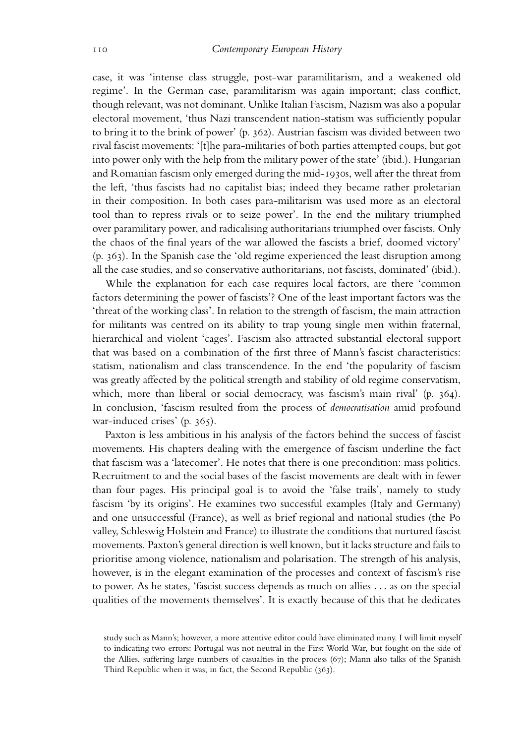case, it was 'intense class struggle, post-war paramilitarism, and a weakened old regime'. In the German case, paramilitarism was again important; class conflict, though relevant, was not dominant. Unlike Italian Fascism, Nazism was also a popular electoral movement, 'thus Nazi transcendent nation-statism was sufficiently popular to bring it to the brink of power' (p. 362). Austrian fascism was divided between two rival fascist movements: '[t]he para-militaries of both parties attempted coups, but got into power only with the help from the military power of the state' (ibid.). Hungarian and Romanian fascism only emerged during the mid-1930s, well after the threat from the left, 'thus fascists had no capitalist bias; indeed they became rather proletarian in their composition. In both cases para-militarism was used more as an electoral tool than to repress rivals or to seize power'. In the end the military triumphed over paramilitary power, and radicalising authoritarians triumphed over fascists. Only the chaos of the final years of the war allowed the fascists a brief, doomed victory' (p. 363). In the Spanish case the 'old regime experienced the least disruption among all the case studies, and so conservative authoritarians, not fascists, dominated' (ibid.).

While the explanation for each case requires local factors, are there 'common factors determining the power of fascists'? One of the least important factors was the 'threat of the working class'. In relation to the strength of fascism, the main attraction for militants was centred on its ability to trap young single men within fraternal, hierarchical and violent 'cages'. Fascism also attracted substantial electoral support that was based on a combination of the first three of Mann's fascist characteristics: statism, nationalism and class transcendence. In the end 'the popularity of fascism was greatly affected by the political strength and stability of old regime conservatism, which, more than liberal or social democracy, was fascism's main rival' (p. 364). In conclusion, 'fascism resulted from the process of *democratisation* amid profound war-induced crises' (p. 365).

Paxton is less ambitious in his analysis of the factors behind the success of fascist movements. His chapters dealing with the emergence of fascism underline the fact that fascism was a 'latecomer'. He notes that there is one precondition: mass politics. Recruitment to and the social bases of the fascist movements are dealt with in fewer than four pages. His principal goal is to avoid the 'false trails', namely to study fascism 'by its origins'. He examines two successful examples (Italy and Germany) and one unsuccessful (France), as well as brief regional and national studies (the Po valley, Schleswig Holstein and France) to illustrate the conditions that nurtured fascist movements. Paxton's general direction is well known, but it lacks structure and fails to prioritise among violence, nationalism and polarisation. The strength of his analysis, however, is in the elegant examination of the processes and context of fascism's rise to power. As he states, 'fascist success depends as much on allies *...* as on the special qualities of the movements themselves'. It is exactly because of this that he dedicates

study such as Mann's; however, a more attentive editor could have eliminated many. I will limit myself to indicating two errors: Portugal was not neutral in the First World War, but fought on the side of the Allies, suffering large numbers of casualties in the process (67); Mann also talks of the Spanish Third Republic when it was, in fact, the Second Republic (363).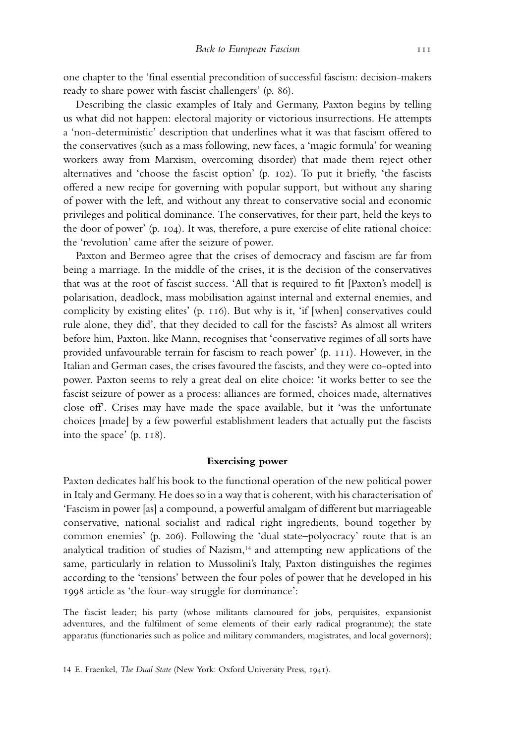one chapter to the 'final essential precondition of successful fascism: decision-makers ready to share power with fascist challengers' (p. 86).

Describing the classic examples of Italy and Germany, Paxton begins by telling us what did not happen: electoral majority or victorious insurrections. He attempts a 'non-deterministic' description that underlines what it was that fascism offered to the conservatives (such as a mass following, new faces, a 'magic formula' for weaning workers away from Marxism, overcoming disorder) that made them reject other alternatives and 'choose the fascist option' (p. 102). To put it briefly, 'the fascists offered a new recipe for governing with popular support, but without any sharing of power with the left, and without any threat to conservative social and economic privileges and political dominance. The conservatives, for their part, held the keys to the door of power' (p. 104). It was, therefore, a pure exercise of elite rational choice: the 'revolution' came after the seizure of power.

Paxton and Bermeo agree that the crises of democracy and fascism are far from being a marriage. In the middle of the crises, it is the decision of the conservatives that was at the root of fascist success. 'All that is required to fit [Paxton's model] is polarisation, deadlock, mass mobilisation against internal and external enemies, and complicity by existing elites' (p. 116). But why is it, 'if [when] conservatives could rule alone, they did', that they decided to call for the fascists? As almost all writers before him, Paxton, like Mann, recognises that 'conservative regimes of all sorts have provided unfavourable terrain for fascism to reach power' (p. 111). However, in the Italian and German cases, the crises favoured the fascists, and they were co-opted into power. Paxton seems to rely a great deal on elite choice: 'it works better to see the fascist seizure of power as a process: alliances are formed, choices made, alternatives close off'. Crises may have made the space available, but it 'was the unfortunate choices [made] by a few powerful establishment leaders that actually put the fascists into the space' (p. 118).

#### **Exercising power**

Paxton dedicates half his book to the functional operation of the new political power in Italy and Germany. He does so in a way that is coherent, with his characterisation of 'Fascism in power [as] a compound, a powerful amalgam of different but marriageable conservative, national socialist and radical right ingredients, bound together by common enemies' (p. 206). Following the 'dual state–polyocracy' route that is an analytical tradition of studies of Nazism,<sup>14</sup> and attempting new applications of the same, particularly in relation to Mussolini's Italy, Paxton distinguishes the regimes according to the 'tensions' between the four poles of power that he developed in his 1998 article as 'the four-way struggle for dominance':

The fascist leader; his party (whose militants clamoured for jobs, perquisites, expansionist adventures, and the fulfilment of some elements of their early radical programme); the state apparatus (functionaries such as police and military commanders, magistrates, and local governors);

<sup>14</sup> E. Fraenkel, *The Dual State* (New York: Oxford University Press, 1941).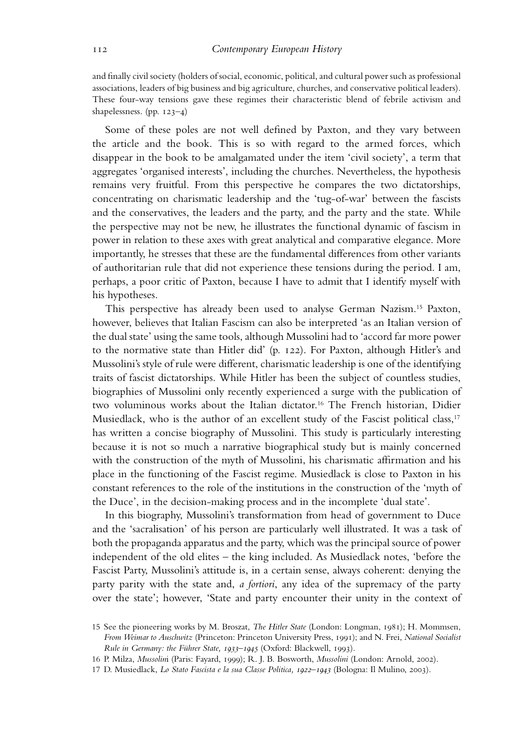and finally civil society (holders of social, economic, political, and cultural power such as professional associations, leaders of big business and big agriculture, churches, and conservative political leaders). These four-way tensions gave these regimes their characteristic blend of febrile activism and shapelessness. (pp. 123–4)

Some of these poles are not well defined by Paxton, and they vary between the article and the book. This is so with regard to the armed forces, which disappear in the book to be amalgamated under the item 'civil society', a term that aggregates 'organised interests', including the churches. Nevertheless, the hypothesis remains very fruitful. From this perspective he compares the two dictatorships, concentrating on charismatic leadership and the 'tug-of-war' between the fascists and the conservatives, the leaders and the party, and the party and the state. While the perspective may not be new, he illustrates the functional dynamic of fascism in power in relation to these axes with great analytical and comparative elegance. More importantly, he stresses that these are the fundamental differences from other variants of authoritarian rule that did not experience these tensions during the period. I am, perhaps, a poor critic of Paxton, because I have to admit that I identify myself with his hypotheses.

This perspective has already been used to analyse German Nazism.15 Paxton, however, believes that Italian Fascism can also be interpreted 'as an Italian version of the dual state' using the same tools, although Mussolini had to 'accord far more power to the normative state than Hitler did' (p. 122). For Paxton, although Hitler's and Mussolini's style of rule were different, charismatic leadership is one of the identifying traits of fascist dictatorships. While Hitler has been the subject of countless studies, biographies of Mussolini only recently experienced a surge with the publication of two voluminous works about the Italian dictator.16 The French historian, Didier Musiedlack, who is the author of an excellent study of the Fascist political class,<sup>17</sup> has written a concise biography of Mussolini. This study is particularly interesting because it is not so much a narrative biographical study but is mainly concerned with the construction of the myth of Mussolini, his charismatic affirmation and his place in the functioning of the Fascist regime. Musiedlack is close to Paxton in his constant references to the role of the institutions in the construction of the 'myth of the Duce', in the decision-making process and in the incomplete 'dual state'.

In this biography, Mussolini's transformation from head of government to Duce and the 'sacralisation' of his person are particularly well illustrated. It was a task of both the propaganda apparatus and the party, which was the principal source of power independent of the old elites – the king included. As Musiedlack notes, 'before the Fascist Party, Mussolini's attitude is, in a certain sense, always coherent: denying the party parity with the state and, *a fortiori*, any idea of the supremacy of the party over the state'; however, 'State and party encounter their unity in the context of

16 P. Milza, *Mussolin*i (Paris: Fayard, 1999); R. J. B. Bosworth, *Mussolini* (London: Arnold, 2002).

<sup>15</sup> See the pioneering works by M. Broszat, *The Hitler State* (London: Longman, 1981); H. Mommsen, *From Weimar to Auschwitz* (Princeton: Princeton University Press, 1991); and N. Frei, *National Socialist Rule in Germany: the Führer State, 1933–1945* (Oxford: Blackwell, 1993).

<sup>17</sup> D. Musiedlack, *Lo Stato Fascista e la sua Classe Politica, 1922–1943* (Bologna: Il Mulino, 2003).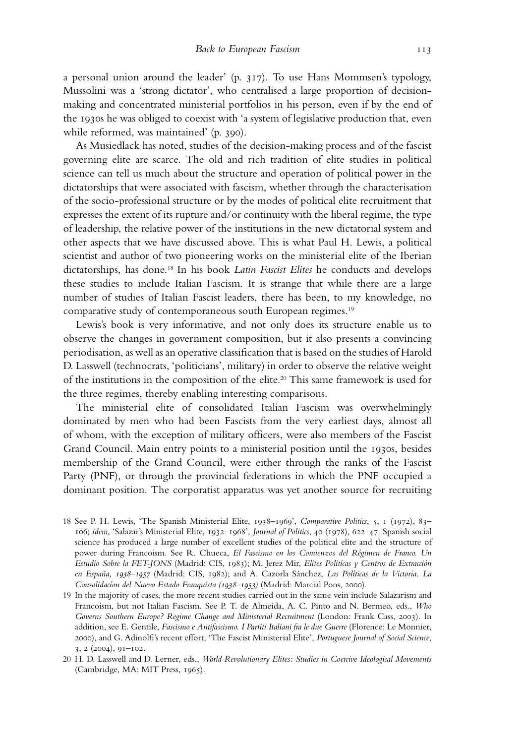a personal union around the leader' (p. 317). To use Hans Mommsen's typology, Mussolini was a 'strong dictator', who centralised a large proportion of decisionmaking and concentrated ministerial portfolios in his person, even if by the end of the 1930s he was obliged to coexist with 'a system of legislative production that, even while reformed, was maintained' (p. 390).

As Musiedlack has noted, studies of the decision-making process and of the fascist governing elite are scarce. The old and rich tradition of elite studies in political science can tell us much about the structure and operation of political power in the dictatorships that were associated with fascism, whether through the characterisation of the socio-professional structure or by the modes of political elite recruitment that expresses the extent of its rupture and/or continuity with the liberal regime, the type of leadership, the relative power of the institutions in the new dictatorial system and other aspects that we have discussed above. This is what Paul H. Lewis, a political scientist and author of two pioneering works on the ministerial elite of the Iberian dictatorships, has done.18 In his book *Latin Fascist Elites* he conducts and develops these studies to include Italian Fascism. It is strange that while there are a large number of studies of Italian Fascist leaders, there has been, to my knowledge, no comparative study of contemporaneous south European regimes.19

Lewis's book is very informative, and not only does its structure enable us to observe the changes in government composition, but it also presents a convincing periodisation, as well as an operative classification that is based on the studies of Harold D. Lasswell (technocrats, 'politicians', military) in order to observe the relative weight of the institutions in the composition of the elite.20 This same framework is used for the three regimes, thereby enabling interesting comparisons.

The ministerial elite of consolidated Italian Fascism was overwhelmingly dominated by men who had been Fascists from the very earliest days, almost all of whom, with the exception of military officers, were also members of the Fascist Grand Council. Main entry points to a ministerial position until the 1930s, besides membership of the Grand Council, were either through the ranks of the Fascist Party (PNF), or through the provincial federations in which the PNF occupied a dominant position. The corporatist apparatus was yet another source for recruiting

- 18 See P. H. Lewis, 'The Spanish Ministerial Elite, 1938–1969', *Comparative Politics*, 5, 1 (1972), 83– 106; *idem*, 'Salazar's Ministerial Elite, 1932–1968', *Journal of Politics*, 40 (1978), 622–47. Spanish social science has produced a large number of excellent studies of the political elite and the structure of power during Francoism. See R. Chueca, *El Fascismo en los Comienzos del Regimen de Franco. Un ´ Estudio Sobre la FET-JONS* (Madrid: CIS, 1983); M. Jerez Mir, *Elites Polit´ıcas y Centros de Extraccion´ en Espana, 1938–1957 ˜* (Madrid: CIS, 1982); and A. Cazorla Sanchez, ´ *Las Pol´ıticas de la Victoria. La Consolidac´ıon del Nuevo Estado Franquista (1938–1953)* (Madrid: Marcial Pons, 2000).
- 19 In the majority of cases, the more recent studies carried out in the same vein include Salazarism and Francoism, but not Italian Fascism. See P. T. de Almeida, A. C. Pinto and N. Bermeo, eds., *Who Governs Southern Europe? Regime Change and Ministerial Recruitment* (London: Frank Cass, 2003). In addition, see E. Gentile, *Fascismo e Antifascismo. I Partiti Italiani fra le due Guerre* (Florence: Le Monnier, 2000), and G. Adinolfi's recent effort, 'The Fascist Ministerial Elite', *Portuguese Journal of Social Science*, 3, 2 (2004), 91–102.
- 20 H. D. Lasswell and D. Lerner, eds., *World Revolutionary Elites: Studies in Coercive Ideological Movements* (Cambridge, MA: MIT Press, 1965).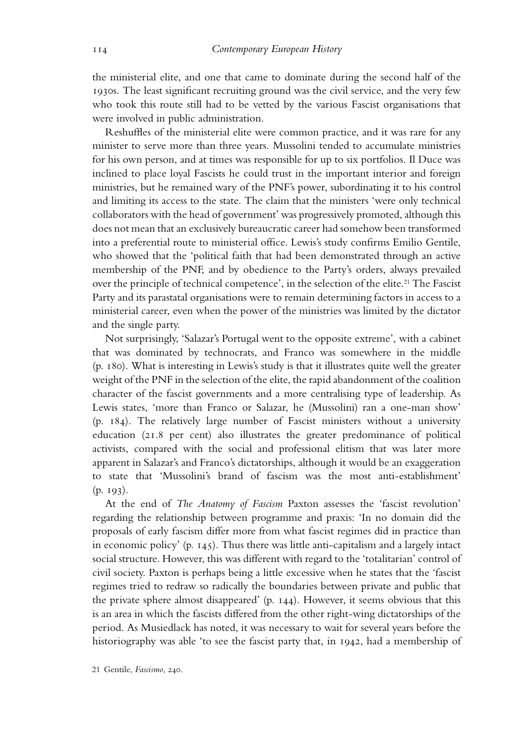the ministerial elite, and one that came to dominate during the second half of the 1930s. The least significant recruiting ground was the civil service, and the very few who took this route still had to be vetted by the various Fascist organisations that were involved in public administration.

Reshuffles of the ministerial elite were common practice, and it was rare for any minister to serve more than three years. Mussolini tended to accumulate ministries for his own person, and at times was responsible for up to six portfolios. Il Duce was inclined to place loyal Fascists he could trust in the important interior and foreign ministries, but he remained wary of the PNF's power, subordinating it to his control and limiting its access to the state. The claim that the ministers 'were only technical collaborators with the head of government' was progressively promoted, although this does not mean that an exclusively bureaucratic career had somehow been transformed into a preferential route to ministerial office. Lewis's study confirms Emilio Gentile, who showed that the 'political faith that had been demonstrated through an active membership of the PNF, and by obedience to the Party's orders, always prevailed over the principle of technical competence', in the selection of the elite.<sup>21</sup> The Fascist Party and its parastatal organisations were to remain determining factors in access to a ministerial career, even when the power of the ministries was limited by the dictator and the single party.

Not surprisingly, 'Salazar's Portugal went to the opposite extreme', with a cabinet that was dominated by technocrats, and Franco was somewhere in the middle (p. 180). What is interesting in Lewis's study is that it illustrates quite well the greater weight of the PNF in the selection of the elite, the rapid abandonment of the coalition character of the fascist governments and a more centralising type of leadership. As Lewis states, 'more than Franco or Salazar, he (Mussolini) ran a one-man show' (p. 184). The relatively large number of Fascist ministers without a university education (21.8 per cent) also illustrates the greater predominance of political activists, compared with the social and professional elitism that was later more apparent in Salazar's and Franco's dictatorships, although it would be an exaggeration to state that 'Mussolini's brand of fascism was the most anti-establishment' (p. 193).

At the end of *The Anatomy of Fascism* Paxton assesses the 'fascist revolution' regarding the relationship between programme and praxis: 'In no domain did the proposals of early fascism differ more from what fascist regimes did in practice than in economic policy' (p. 145). Thus there was little anti-capitalism and a largely intact social structure. However, this was different with regard to the 'totalitarian' control of civil society. Paxton is perhaps being a little excessive when he states that the 'fascist regimes tried to redraw so radically the boundaries between private and public that the private sphere almost disappeared' (p. 144). However, it seems obvious that this is an area in which the fascists differed from the other right-wing dictatorships of the period. As Musiedlack has noted, it was necessary to wait for several years before the historiography was able 'to see the fascist party that, in 1942, had a membership of

21 Gentile, *Fascismo*, 240.